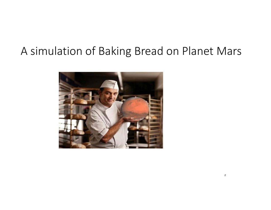## A simulation of Baking Bread on Planet Mars

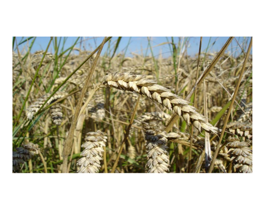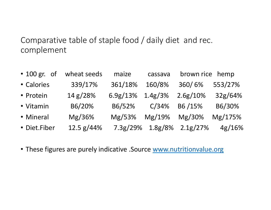## Comparative table of staple food / daily diet and rec. complement

| $\cdot$ 100 gr. of | wheat seeds  | maize    | cassava | brown rice hemp     |         |
|--------------------|--------------|----------|---------|---------------------|---------|
| • Calories         | 339/17%      | 361/18%  | 160/8%  | 360/6%              | 553/27% |
| • Protein          | 14 g/28%     | 6.9g/13% | 1.4g/3% | 2.6g/10%            | 32g/64% |
| • Vitamin          | B6/20%       | B6/52%   | C/34%   | B6/15%              | B6/30%  |
| • Mineral          | Mg/36%       | Mg/53%   | Mg/19%  | Mg/30%              | Mg/175% |
| · Diet.Fiber       | 12.5 $g/44%$ | 7.3g/29% |         | $1.8g/8\%$ 2.1g/27% | 4g/16%  |

• These figures are purely indicative .Source www.nutritionvalue.org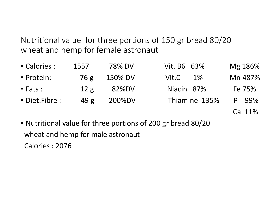Nutritional value for three portions of 150 gr bread 80/20 wheat and hemp for female astronaut

| • Calories :     | 1557 | 78% DV  | Vit. B6 63%   | Mg 186% |
|------------------|------|---------|---------------|---------|
| • Protein:       | 76 g | 150% DV | Vit.C $1\%$   | Mn 487% |
| $\bullet$ Fats : | 12 g | 82%DV   | Niacin 87%    | Fe 75%  |
| • Diet.Fibre :   | 49 g | 200%DV  | Thiamine 135% | P 99%   |
|                  |      |         |               | Ca 11%  |

• Nutritional value for three portions of 200 gr bread 80/20 wheat and hemp for male astronaut Calories : 2076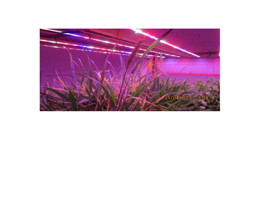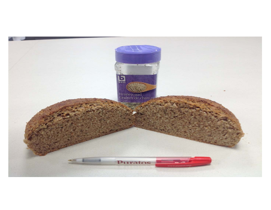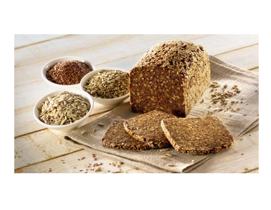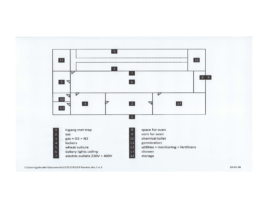

C:\Users\gebruiker\Documents\UCS\123\UCS Puratos.xlsx / vs 2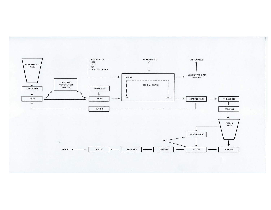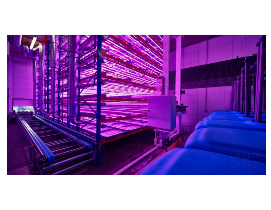